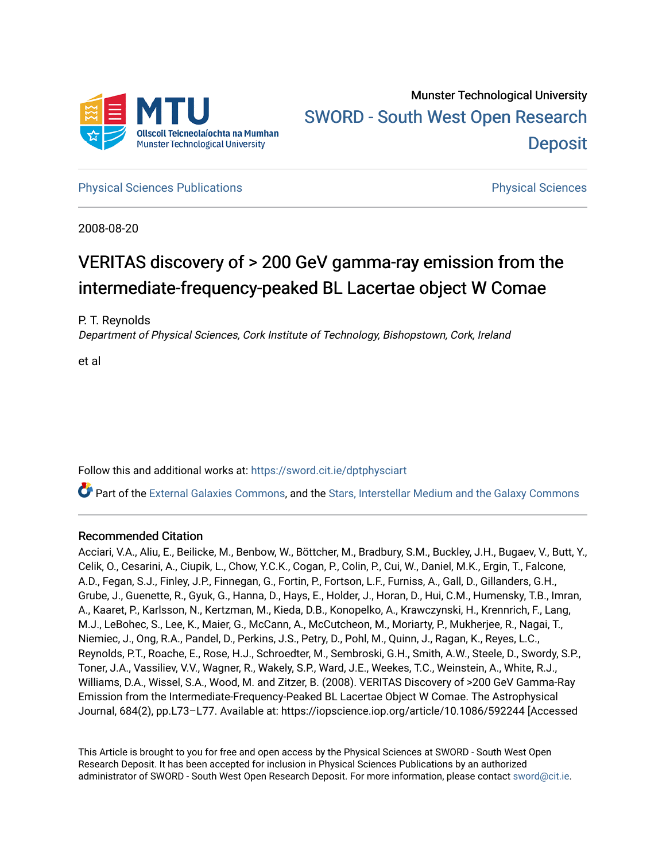

**[Physical Sciences Publications](https://sword.cit.ie/dptphysciart) Provide Access Publications Physical Sciences** Physical Sciences

2008-08-20

# VERITAS discovery of > 200 GeV gamma-ray emission from the intermediate-frequency-peaked BL Lacertae object W Comae

P. T. Reynolds

Department of Physical Sciences, Cork Institute of Technology, Bishopstown, Cork, Ireland

et al

Follow this and additional works at: [https://sword.cit.ie/dptphysciart](https://sword.cit.ie/dptphysciart?utm_source=sword.cit.ie%2Fdptphysciart%2F97&utm_medium=PDF&utm_campaign=PDFCoverPages)

Part of the [External Galaxies Commons](http://network.bepress.com/hgg/discipline/128?utm_source=sword.cit.ie%2Fdptphysciart%2F97&utm_medium=PDF&utm_campaign=PDFCoverPages), and the [Stars, Interstellar Medium and the Galaxy Commons](http://network.bepress.com/hgg/discipline/127?utm_source=sword.cit.ie%2Fdptphysciart%2F97&utm_medium=PDF&utm_campaign=PDFCoverPages) 

## Recommended Citation

Acciari, V.A., Aliu, E., Beilicke, M., Benbow, W., Böttcher, M., Bradbury, S.M., Buckley, J.H., Bugaev, V., Butt, Y., Celik, O., Cesarini, A., Ciupik, L., Chow, Y.C.K., Cogan, P., Colin, P., Cui, W., Daniel, M.K., Ergin, T., Falcone, A.D., Fegan, S.J., Finley, J.P., Finnegan, G., Fortin, P., Fortson, L.F., Furniss, A., Gall, D., Gillanders, G.H., Grube, J., Guenette, R., Gyuk, G., Hanna, D., Hays, E., Holder, J., Horan, D., Hui, C.M., Humensky, T.B., Imran, A., Kaaret, P., Karlsson, N., Kertzman, M., Kieda, D.B., Konopelko, A., Krawczynski, H., Krennrich, F., Lang, M.J., LeBohec, S., Lee, K., Maier, G., McCann, A., McCutcheon, M., Moriarty, P., Mukherjee, R., Nagai, T., Niemiec, J., Ong, R.A., Pandel, D., Perkins, J.S., Petry, D., Pohl, M., Quinn, J., Ragan, K., Reyes, L.C., Reynolds, P.T., Roache, E., Rose, H.J., Schroedter, M., Sembroski, G.H., Smith, A.W., Steele, D., Swordy, S.P., Toner, J.A., Vassiliev, V.V., Wagner, R., Wakely, S.P., Ward, J.E., Weekes, T.C., Weinstein, A., White, R.J., Williams, D.A., Wissel, S.A., Wood, M. and Zitzer, B. (2008). VERITAS Discovery of >200 GeV Gamma-Ray Emission from the Intermediate-Frequency-Peaked BL Lacertae Object W Comae. The Astrophysical Journal, 684(2), pp.L73–L77. Available at: https://iopscience.iop.org/article/10.1086/592244 [Accessed

This Article is brought to you for free and open access by the Physical Sciences at SWORD - South West Open Research Deposit. It has been accepted for inclusion in Physical Sciences Publications by an authorized administrator of SWORD - South West Open Research Deposit. For more information, please contact [sword@cit.ie.](mailto:sword@cit.ie)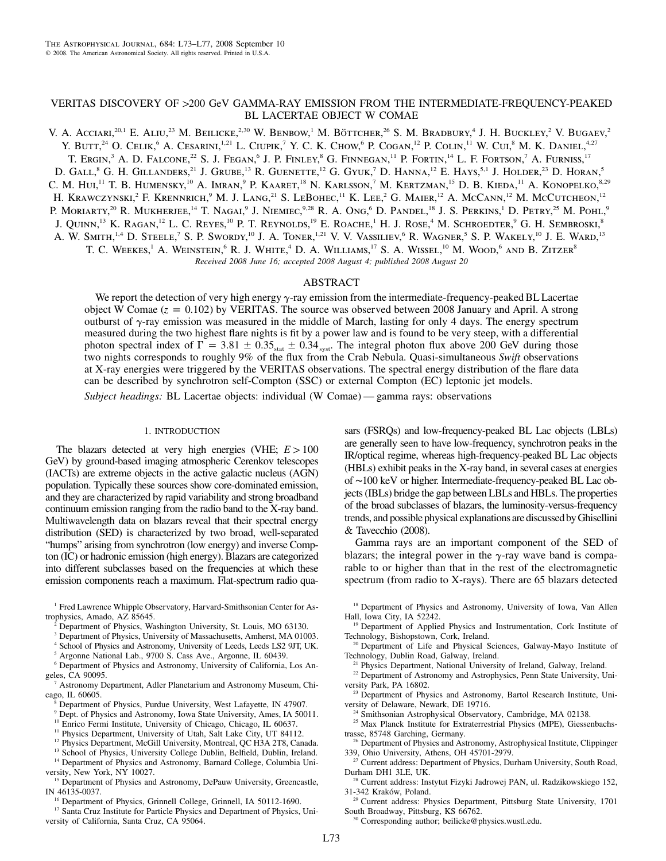## VERITAS DISCOVERY OF >200 GeV GAMMA-RAY EMISSION FROM THE INTERMEDIATE-FREQUENCY-PEAKED BL LACERTAE OBJECT W COMAE

V. A. Acciari,<sup>20,1</sup> E. Aliu,<sup>23</sup> M. Beilicke,<sup>2,30</sup> W. Benbow,<sup>1</sup> M. Böttcher,<sup>26</sup> S. M. Bradbury,<sup>4</sup> J. H. Buckley,<sup>2</sup> V. Bugaev,<sup>2</sup> Y. BUTT,<sup>24</sup> O. CELIK,<sup>6</sup> A. CESARINI,<sup>1,21</sup> L. CIUPIK,<sup>7</sup> Y. C. K. CHOW,<sup>6</sup> P. COGAN,<sup>12</sup> P. COLIN,<sup>11</sup> W. CUI,<sup>8</sup> M. K. DANIEL,<sup>4,27</sup> T. ERGIN,<sup>3</sup> A. D. FALCONE,<sup>22</sup> S. J. FEGAN,<sup>6</sup> J. P. FINLEY,<sup>8</sup> G. FINNEGAN,<sup>11</sup> P. FORTIN,<sup>14</sup> L. F. FORTSON,<sup>7</sup> A. FURNISS,<sup>17</sup> D. GALL,<sup>8</sup> G. H. GILLANDERS,<sup>21</sup> J. GRUBE,<sup>13</sup> R. GUENETTE,<sup>12</sup> G. GYUK,<sup>7</sup> D. HANNA,<sup>12</sup> E. HAYS,<sup>5,1</sup> J. HOLDER,<sup>23</sup> D. HORAN,<sup>5</sup> C. M. Hui,<sup>11</sup> T. B. Humensky,<sup>10</sup> A. Imran,<sup>9</sup> P. Kaaret,<sup>18</sup> N. Karlsson,<sup>7</sup> M. Kertzman,<sup>15</sup> D. B. Kieda,<sup>11</sup> A. Konopelko,<sup>8,29</sup> H. KRAWCZYNSKI,<sup>2</sup> F. KRENNRICH,<sup>9</sup> M. J. LANG,<sup>21</sup> S. LEBOHEC,<sup>11</sup> K. LEE,<sup>2</sup> G. MAIER,<sup>12</sup> A. McCANN,<sup>12</sup> M. McCutcheon,<sup>12</sup> P. MORIARTY,<sup>20</sup> R. MUKHERJEE,<sup>14</sup> T. Nagai,<sup>9</sup> J. Niemiec,<sup>9,28</sup> R. A. Ong,<sup>6</sup> D. Pandel,<sup>18</sup> J. S. Perkins,<sup>1</sup> D. Petry,<sup>25</sup> M. Pohl,<sup>9</sup> J. QUINN,<sup>13</sup> K. RAGAN,<sup>12</sup> L. C. REYES,<sup>10</sup> P. T. REYNOLDS,<sup>19</sup> E. ROACHE,<sup>1</sup> H. J. ROSE,<sup>4</sup> M. SCHROEDTER,<sup>9</sup> G. H. SEMBROSKI,<sup>8</sup> A. W. SMITH,<sup>1,4</sup> D. STEELE,<sup>7</sup> S. P. SWORDY,<sup>10</sup> J. A. TONER,<sup>1,21</sup> V. V. VASSILIEV,<sup>6</sup> R. WAGNER,<sup>5</sup> S. P. WAKELY,<sup>10</sup> J. E. WARD,<sup>13</sup> T. C. WEEKES,<sup>1</sup> A. WEINSTEIN,<sup>6</sup> R. J. WHITE,<sup>4</sup> D. A. WILLIAMS,<sup>17</sup> S. A. WISSEL,<sup>10</sup> M. WOOD,<sup>6</sup> AND B. ZITZER<sup>8</sup> *Received 2008 June 16; accepted 2008 August 4; published 2008 August 20*

## ABSTRACT

We report the detection of very high energy  $\gamma$ -ray emission from the intermediate-frequency-peaked BL Lacertae object W Comae  $(z = 0.102)$  by VERITAS. The source was observed between 2008 January and April. A strong outburst of  $\gamma$ -ray emission was measured in the middle of March, lasting for only 4 days. The energy spectrum measured during the two highest flare nights is fit by a power law and is found to be very steep, with a differential photon spectral index of  $\Gamma = 3.81 \pm 0.35$ <sub>stat</sub>  $\pm 0.34$ <sub>syst</sub>. The integral photon flux above 200 GeV during those two nights corresponds to roughly 9% of the flux from the Crab Nebula. Quasi-simultaneous Swift observations at X-ray energies were triggered by the VERITAS observations. The spectral energy distribution of the flare data can be described by synchrotron self-Compton (SSC) or external Compton (EC) leptonic jet models.

*Subject headings:* BL Lacertae objects: individual (W Comae) — gamma rays: observations

## 1. INTRODUCTION

The blazars detected at very high energies (VHE;  $E > 100$ GeV) by ground-based imaging atmospheric Cerenkov telescopes (IACTs) are extreme objects in the active galactic nucleus (AGN) population. Typically these sources show core-dominated emission, and they are characterized by rapid variability and strong broadband continuum emission ranging from the radio band to the X-ray band. Multiwavelength data on blazars reveal that their spectral energy distribution (SED) is characterized by two broad, well-separated "humps" arising from synchrotron (low energy) and inverse Compton (IC) or hadronic emission (high energy). Blazars are categorized into different subclasses based on the frequencies at which these emission components reach a maximum. Flat-spectrum radio qua-

<sup>1</sup> Fred Lawrence Whipple Observatory, Harvard-Smithsonian Center for Astrophysics, Amado, AZ 85645.

- Department of Physics, Washington University, St. Louis, MO 63130.
- <sup>3</sup> Department of Physics, University of Massachusetts, Amherst, MA 01003.
- <sup>4</sup> School of Physics and Astronomy, University of Leeds, Leeds LS2 9JT, UK.
- <sup>5</sup> Argonne National Lab., 9700 S. Cass Ave., Argonne, IL 60439.
- <sup>6</sup> Department of Physics and Astronomy, University of California, Los Angeles, CA 90095.
- Astronomy Department, Adler Planetarium and Astronomy Museum, Chicago, IL 60605.
	- <sup>8</sup> Department of Physics, Purdue University, West Lafayette, IN 47907.
	- <sup>9</sup> Dept. of Physics and Astronomy, Iowa State University, Ames, IA 50011.
	- <sup>10</sup> Enrico Fermi Institute, University of Chicago, Chicago, IL 60637.
	- <sup>11</sup> Physics Department, University of Utah, Salt Lake City, UT 84112.
	- <sup>12</sup> Physics Department, McGill University, Montreal, QC H3A 2T8, Canada.
	- <sup>13</sup> School of Physics, University College Dublin, Belfield, Dublin, Ireland.
- <sup>14</sup> Department of Physics and Astronomy, Barnard College, Columbia University, New York, NY 10027.
- <sup>15</sup> Department of Physics and Astronomy, DePauw University, Greencastle, IN 46135-0037.

<sup>16</sup> Department of Physics, Grinnell College, Grinnell, IA 50112-1690.

<sup>17</sup> Santa Cruz Institute for Particle Physics and Department of Physics, University of California, Santa Cruz, CA 95064.

sars (FSRQs) and low-frequency-peaked BL Lac objects (LBLs) are generally seen to have low-frequency, synchrotron peaks in the IR/optical regime, whereas high-frequency-peaked BL Lac objects (HBLs) exhibit peaks in the X-ray band, in several cases at energies of ∼100 keV or higher. Intermediate-frequency-peaked BL Lac objects (IBLs) bridge the gap between LBLs and HBLs. The properties of the broad subclasses of blazars, the luminosity-versus-frequency trends, and possible physical explanations arediscussedbyGhisellini & Tavecchio (2008).

Gamma rays are an important component of the SED of blazars; the integral power in the  $\gamma$ -ray wave band is comparable to or higher than that in the rest of the electromagnetic spectrum (from radio to X-rays). There are 65 blazars detected

- <sup>18</sup> Department of Physics and Astronomy, University of Iowa, Van Allen Hall, Iowa City, IA 52242.
- <sup>19</sup> Department of Applied Physics and Instrumentation, Cork Institute of Technology, Bishopstown, Cork, Ireland.
- <sup>20</sup> Department of Life and Physical Sciences, Galway-Mayo Institute of Technology, Dublin Road, Galway, Ireland.
	- <sup>21</sup> Physics Department, National University of Ireland, Galway, Ireland.
- <sup>22</sup> Department of Astronomy and Astrophysics, Penn State University, University Park, PA 16802.
- <sup>23</sup> Department of Physics and Astronomy, Bartol Research Institute, University of Delaware, Newark, DE 19716.
	- <sup>24</sup> Smithsonian Astrophysical Observatory, Cambridge, MA 02138.
- <sup>25</sup> Max Planck Institute for Extraterrestrial Physics (MPE), Giessenbachstrasse, 85748 Garching, Germany.
- <sup>26</sup> Department of Physics and Astronomy, Astrophysical Institute, Clippinger 339, Ohio University, Athens, OH 45701-2979.
- <sup>27</sup> Current address: Department of Physics, Durham University, South Road, Durham DH1 3LE, UK.
- <sup>28</sup> Current address: Instytut Fizyki Jadrowej PAN, ul. Radzikowskiego 152, 31-342 Kraków, Poland.
- <sup>29</sup> Current address: Physics Department, Pittsburg State University, 1701 South Broadway, Pittsburg, KS 66762.
	- <sup>30</sup> Corresponding author; beilicke@physics.wustl.edu.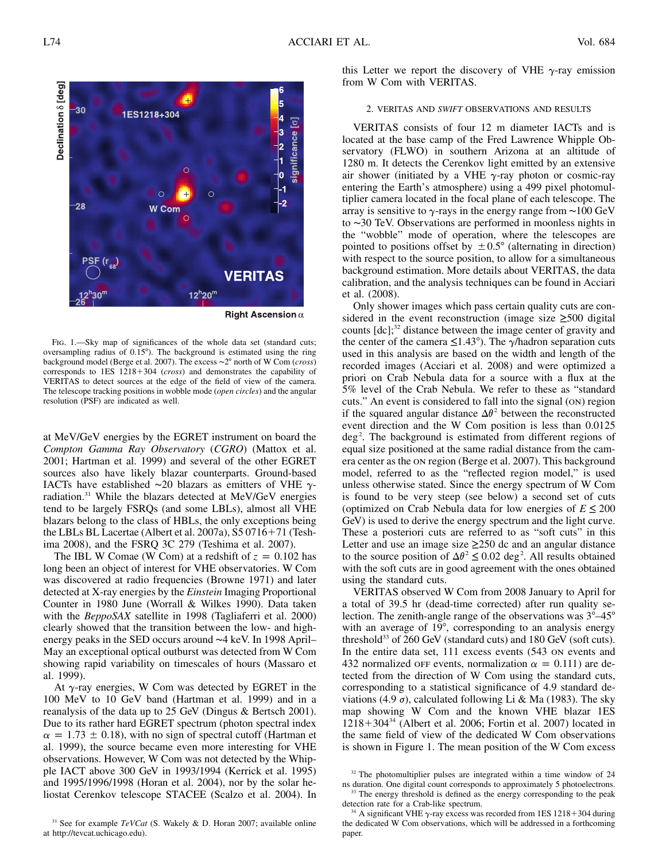6 Ē. 5 30 **IES1218+304**  $\overline{a}$  $significance$   $\sigma$  $\frac{3}{2}$  $\overline{C}$ Ó Ċ  $-28$ Com Ċ **VERITAS**  $12^{h}20^{m}$ 

Right Ascension  $\alpha$ 

Fig. 1.—Sky map of significances of the whole data set (standard cuts; oversampling radius of 0.15°). The background is estimated using the ring background model (Berge et al. 2007). The excess ∼2° north of W Com (*cross*) corresponds to 1ES 1218+304 (*cross*) and demonstrates the capability of VERITAS to detect sources at the edge of the field of view of the camera. The telescope tracking positions in wobble mode (*open circles*) and the angular resolution (PSF) are indicated as well.

at MeV/GeV energies by the EGRET instrument on board the *Compton Gamma Ray Observatory* (*CGRO*) (Mattox et al. 2001; Hartman et al. 1999) and several of the other EGRET sources also have likely blazar counterparts. Ground-based IACTs have established ∼20 blazars as emitters of VHE  $\gamma$ radiation.31 While the blazars detected at MeV/GeV energies tend to be largely FSRQs (and some LBLs), almost all VHE blazars belong to the class of HBLs, the only exceptions being the LBLs BL Lacertae (Albert et al. 2007a),  $S5 0716+71$  (Teshima 2008), and the FSRQ 3C 279 (Teshima et al. 2007).

The IBL W Comae (W Com) at a redshift of  $z = 0.102$  has long been an object of interest for VHE observatories. W Com was discovered at radio frequencies (Browne 1971) and later detected at X-ray energies by the *Einstein* Imaging Proportional Counter in 1980 June (Worrall & Wilkes 1990). Data taken with the *BeppoSAX* satellite in 1998 (Tagliaferri et al. 2000) clearly showed that the transition between the low- and highenergy peaks in the SED occurs around ∼4 keV. In 1998 April– May an exceptional optical outburst was detected from W Com showing rapid variability on timescales of hours (Massaro et al. 1999).

At  $\gamma$ -ray energies, W Com was detected by EGRET in the 100 MeV to 10 GeV band (Hartman et al. 1999) and in a reanalysis of the data up to  $25$  GeV (Dingus & Bertsch 2001). Due to its rather hard EGRET spectrum (photon spectral index  $\alpha = 1.73 \pm 0.18$ ), with no sign of spectral cutoff (Hartman et al. 1999), the source became even more interesting for VHE observations. However, W Com was not detected by the Whipple IACT above 300 GeV in 1993/1994 (Kerrick et al. 1995) and 1995/1996/1998 (Horan et al. 2004), nor by the solar heliostat Cerenkov telescope STACEE (Scalzo et al. 2004). In

<sup>31</sup> See for example  $TeVCat$  (S. Wakely & D. Horan 2007; available online at http://tevcat.uchicago.edu).

this Letter we report the discovery of VHE  $\gamma$ -ray emission from W Com with VERITAS.

## 2. VERITAS AND *SWIFT* OBSERVATIONS AND RESULTS

VERITAS consists of four 12 m diameter IACTs and is located at the base camp of the Fred Lawrence Whipple Observatory (FLWO) in southern Arizona at an altitude of 1280 m. It detects the Cerenkov light emitted by an extensive air shower (initiated by a VHE  $\gamma$ -ray photon or cosmic-ray entering the Earth's atmosphere) using a 499 pixel photomultiplier camera located in the focal plane of each telescope. The array is sensitive to  $\gamma$ -rays in the energy range from ~100 GeV to ∼30 TeV. Observations are performed in moonless nights in the "wobble" mode of operation, where the telescopes are pointed to positions offset by  $\pm 0.5^{\circ}$  (alternating in direction) with respect to the source position, to allow for a simultaneous background estimation. More details about VERITAS, the data calibration, and the analysis techniques can be found in Acciari et al. (2008).

Only shower images which pass certain quality cuts are considered in the event reconstruction (image size  $\geq 500$  digital counts  $[dc]$ <sup>32</sup> distance between the image center of gravity and the center of the camera  $\leq 1.43^{\circ}$ ). The  $\gamma$ /hadron separation cuts used in this analysis are based on the width and length of the recorded images (Acciari et al. 2008) and were optimized a priori on Crab Nebula data for a source with a flux at the 5% level of the Crab Nebula. We refer to these as "standard cuts." An event is considered to fall into the signal (on) region if the squared angular distance  $\Delta\theta^2$  between the reconstructed event direction and the W Com position is less than 0.0125  $\text{deg}^2$ . The background is estimated from different regions of equal size positioned at the same radial distance from the camera center as the on region (Berge et al. 2007). This background model, referred to as the "reflected region model," is used unless otherwise stated. Since the energy spectrum of W Com is found to be very steep (see below) a second set of cuts (optimized on Crab Nebula data for low energies of  $E \leq 200$ GeV) is used to derive the energy spectrum and the light curve. These a posteriori cuts are referred to as "soft cuts" in this Letter and use an image size  $\geq 250$  dc and an angular distance to the source position of  $\Delta\theta^2 \leq 0.02$  deg<sup>2</sup>. All results obtained with the soft cuts are in good agreement with the ones obtained using the standard cuts.

VERITAS observed W Com from 2008 January to April for a total of 39.5 hr (dead-time corrected) after run quality selection. The zenith-angle range of the observations was  $3^{\circ}-45^{\circ}$ with an average of  $19^\circ$ , corresponding to an analysis energy threshold<sup>33</sup> of  $260$  GeV (standard cuts) and  $180$  GeV (soft cuts). In the entire data set, 111 excess events (543 on events and 432 normalized or events, normalization  $\alpha = 0.111$ ) are detected from the direction of W Com using the standard cuts, corresponding to a statistical significance of 4.9 standard deviations (4.9  $\sigma$ ), calculated following Li & Ma (1983). The sky map showing W Com and the known VHE blazar 1ES  $1218+304^{34}$  (Albert et al. 2006; Fortin et al. 2007) located in the same field of view of the dedicated W Com observations is shown in Figure 1. The mean position of the W Com excess

<sup>32</sup> The photomultiplier pulses are integrated within a time window of 24 ns duration. One digital count corresponds to approximately 5 photoelectrons. <sup>33</sup> The energy threshold is defined as the energy corresponding to the peak



detection rate for a Crab-like spectrum. A significant VHE  $\gamma$ -ray excess was recorded from 1ES 1218+304 during the dedicated W Com observations, which will be addressed in a forthcoming paper.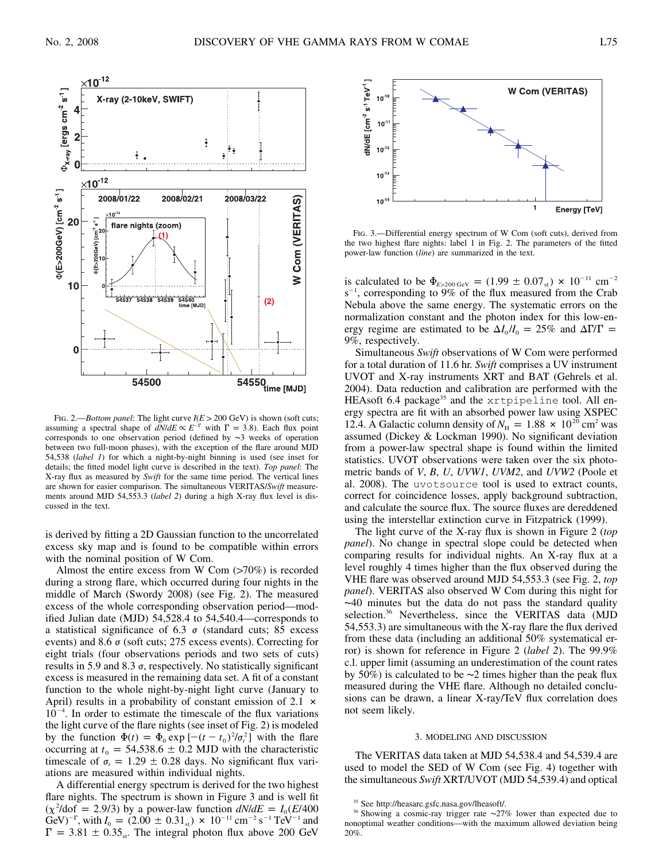$n^{-12}$ 



 $10$ 

**W Com (VERITAS)** 

Energy [TeV]



FIG. 2.—*Bottom panel*: The light curve  $I(E > 200 \text{ GeV})$  is shown (soft cuts; assuming a spectral shape of  $dN/dE \propto E^{-\Gamma}$  with  $\Gamma = 3.8$ ). Each flux point corresponds to one observation period (defined by ∼3 weeks of operation between two full-moon phases), with the exception of the flare around MJD 54,538 (*label 1*) for which a night-by-night binning is used (see inset for details; the fitted model light curve is described in the text). *Top panel*: The X-ray flux as measured by *Swift* for the same time period. The vertical lines are shown for easier comparison. The simultaneous VERITAS/*Swift* measurements around MJD 54,553.3 (*label 2*) during a high X-ray flux level is discussed in the text.

is derived by fitting a 2D Gaussian function to the uncorrelated excess sky map and is found to be compatible within errors with the nominal position of W Com.

Almost the entire excess from W Com  $(>70\%)$  is recorded during a strong flare, which occurred during four nights in the middle of March (Swordy 2008) (see Fig. 2). The measured excess of the whole corresponding observation period—modified Julian date (MJD) 54,528.4 to 54,540.4—corresponds to a statistical significance of 6.3  $\sigma$  (standard cuts; 85 excess events) and 8.6  $\sigma$  (soft cuts; 275 excess events). Correcting for eight trials (four observations periods and two sets of cuts) results in 5.9 and 8.3  $\sigma$ , respectively. No statistically significant excess is measured in the remaining data set. A fit of a constant function to the whole night-by-night light curve (January to April) results in a probability of constant emission of  $2.1 \times$ 10<sup>-4</sup>. In order to estimate the timescale of the flux variations the light curve of the flare nights (see inset of Fig. 2) is modeled by the function  $\Phi(t) = \Phi_0 \exp\left[-(t - t_0)^2/\sigma_t^2\right]$  with the flare occurring at  $t_0 = 54,538.6 \pm 0.2$  MJD with the characteristic timescale of  $\sigma_t = 1.29 \pm 0.28$  days. No significant flux variations are measured within individual nights.

A differential energy spectrum is derived for the two highest flare nights. The spectrum is shown in Figure 3 and is well fit  $(\chi^2/\text{dof} = 2.9/3)$  by a power-law function  $dN/dE = I_0 (E/400)$ GeV)<sup>-T</sup>, with  $I_0 = (2.00 \pm 0.31_{st}) \times 10^{-11}$  cm<sup>-2</sup> s<sup>-1</sup> TeV<sup>-1</sup> and  $\Gamma = 3.81 \pm 0.35$ <sub>st</sub>. The integral photon flux above 200 GeV



1

is calculated to be  $\Phi_{E > 200 \text{ GeV}} = (1.99 \pm 0.07 \text{ s}) \times 10^{-11} \text{ cm}^{-2}$  $s^{-1}$ , corresponding to 9% of the flux measured from the Crab Nebula above the same energy. The systematic errors on the normalization constant and the photon index for this low-energy regime are estimated to be  $\Delta I_0/I_0 = 25\%$  and  $\Delta \Gamma/\Gamma =$ 9%, respectively.

Simultaneous *Swift* observations of W Com were performed for a total duration of 11.6 hr. *Swift* comprises a UV instrument UVOT and X-ray instruments XRT and BAT (Gehrels et al. 2004). Data reduction and calibration are performed with the HEAsoft 6.4 package<sup>35</sup> and the xrtpipeline tool. All energy spectra are fit with an absorbed power law using XSPEC 12.4. A Galactic column density of  $N_H = 1.88 \times 10^{20}$  cm<sup>2</sup> was assumed (Dickey & Lockman 1990). No significant deviation from a power-law spectral shape is found within the limited statistics. UVOT observations were taken over the six photometric bands of *V*, *B*, *U*, *UVW1*, *UVM2*, and *UVW2* (Poole et al. 2008). The uvotsource tool is used to extract counts, correct for coincidence losses, apply background subtraction, and calculate the source flux. The source fluxes are dereddened using the interstellar extinction curve in Fitzpatrick (1999).

The light curve of the X-ray flux is shown in Figure 2 (*top panel*). No change in spectral slope could be detected when comparing results for individual nights. An X-ray flux at a level roughly 4 times higher than the flux observed during the VHE flare was observed around MJD 54,553.3 (see Fig. 2, *top panel*). VERITAS also observed W Com during this night for ∼40 minutes but the data do not pass the standard quality selection.<sup>36</sup> Nevertheless, since the VERITAS data (MJD 54,553.3) are simultaneous with the X-ray flare the flux derived from these data (including an additional  $50\%$  systematical error) is shown for reference in Figure 2 (*label 2*). The 99.9% c.l. upper limit (assuming an underestimation of the count rates by 50%) is calculated to be  $\sim$ 2 times higher than the peak flux measured during the VHE flare. Although no detailed conclusions can be drawn, a linear X-ray/TeV flux correlation does not seem likely.

#### 3. MODELING AND DISCUSSION

The VERITAS data taken at MJD 54,538.4 and 54,539.4 are used to model the SED of W Com (see Fig. 4) together with the simultaneous *Swift* XRT/UVOT (MJD 54,539.4) and optical

<sup>35</sup> See http://heasarc.gsfc.nasa.gov/lheasoft/.

<sup>&</sup>lt;sup>36</sup> Showing a cosmic-ray trigger rate ∼27% lower than expected due to nonoptimal weather conditions—with the maximum allowed deviation being 20%.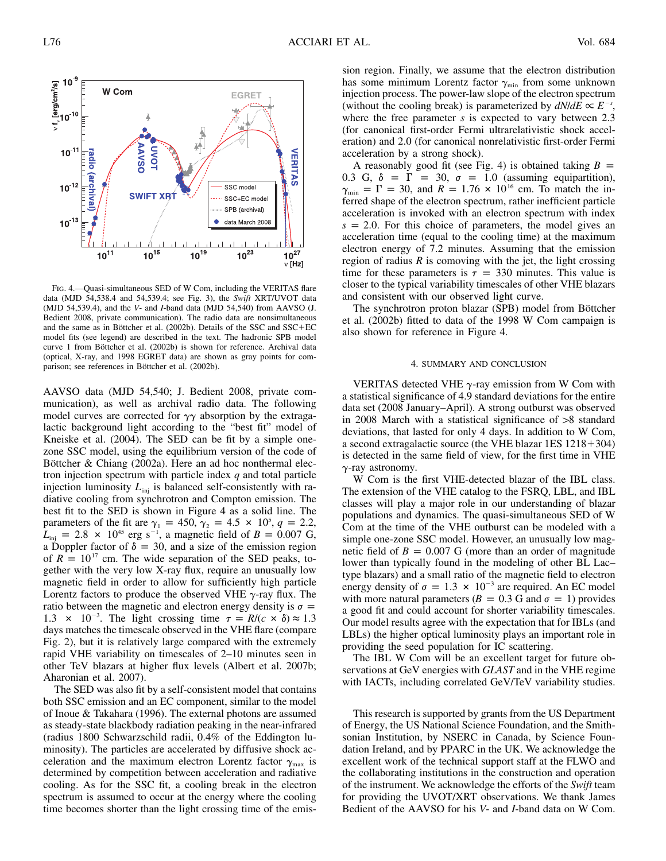

Fig. 4.—Quasi-simultaneous SED of W Com, including the VERITAS flare data (MJD 54,538.4 and 54,539.4; see Fig. 3), the *Swift* XRT/UVOT data (MJD 54,539.4), and the *V*- and *I*-band data (MJD 54,540) from AAVSO (J. Bedient 2008, private communication). The radio data are nonsimultaneous and the same as in Böttcher et al.  $(2002b)$ . Details of the SSC and SSC+EC model fits (see legend) are described in the text. The hadronic SPB model curve 1 from Böttcher et al. (2002b) is shown for reference. Archival data (optical, X-ray, and 1998 EGRET data) are shown as gray points for comparison; see references in Böttcher et al. (2002b).

AAVSO data (MJD 54,540; J. Bedient 2008, private communication), as well as archival radio data. The following model curves are corrected for  $\gamma\gamma$  absorption by the extragalactic background light according to the "best fit" model of Kneiske et al. (2004). The SED can be fit by a simple onezone SSC model, using the equilibrium version of the code of Böttcher & Chiang (2002a). Here an ad hoc nonthermal electron injection spectrum with particle index *q* and total particle injection luminosity  $L_{\text{inj}}$  is balanced self-consistently with radiative cooling from synchrotron and Compton emission. The best fit to the SED is shown in Figure 4 as a solid line. The parameters of the fit are  $\gamma_1 = 450, \gamma_2 = 4.5 \times 10^5, q = 2.2,$  $L_{\text{inj}} = 2.8 \times 10^{45} \text{ erg s}^{-1}$ , a magnetic field of  $B = 0.007 \text{ G}$ , a Doppler factor of  $\delta = 30$ , and a size of the emission region of  $R = 10^{17}$  cm. The wide separation of the SED peaks, together with the very low X-ray flux, require an unusually low magnetic field in order to allow for sufficiently high particle Lorentz factors to produce the observed VHE  $\gamma$ -ray flux. The ratio between the magnetic and electron energy density is  $\sigma =$ 1.3  $\times$  10<sup>-3</sup>. The light crossing time  $\tau = R/(c \times \delta) \approx 1.3$ days matches the timescale observed in the VHE flare (compare Fig. 2), but it is relatively large compared with the extremely rapid VHE variability on timescales of 2–10 minutes seen in other TeV blazars at higher flux levels (Albert et al. 2007b; Aharonian et al. 2007).

The SED was also fit by a self-consistent model that contains both SSC emission and an EC component, similar to the model of Inoue & Takahara (1996). The external photons are assumed as steady-state blackbody radiation peaking in the near-infrared (radius 1800 Schwarzschild radii,  $0.4\%$  of the Eddington luminosity). The particles are accelerated by diffusive shock acceleration and the maximum electron Lorentz factor  $\gamma_{\text{max}}$  is determined by competition between acceleration and radiative cooling. As for the SSC fit, a cooling break in the electron spectrum is assumed to occur at the energy where the cooling time becomes shorter than the light crossing time of the emission region. Finally, we assume that the electron distribution has some minimum Lorentz factor  $\gamma_{\min}$  from some unknown injection process. The power-law slope of the electron spectrum (without the cooling break) is parameterized by  $dN/dE \propto E^{-s}$ , where the free parameter *s* is expected to vary between 2.3 (for canonical first-order Fermi ultrarelativistic shock acceleration) and 2.0 (for canonical nonrelativistic first-order Fermi acceleration by a strong shock).

A reasonably good fit (see Fig. 4) is obtained taking  $B =$ 0.3 G,  $\delta = \Gamma = 30$ ,  $\sigma = 1.0$  (assuming equipartition),  $\gamma_{\min} = \Gamma = 30$ , and  $R = 1.76 \times 10^{16}$  cm. To match the inferred shape of the electron spectrum, rather inefficient particle acceleration is invoked with an electron spectrum with index  $s = 2.0$ . For this choice of parameters, the model gives an acceleration time (equal to the cooling time) at the maximum electron energy of 7.2 minutes. Assuming that the emission region of radius  $R$  is comoving with the jet, the light crossing time for these parameters is  $\tau = 330$  minutes. This value is closer to the typical variability timescales of other VHE blazars and consistent with our observed light curve.

The synchrotron proton blazar (SPB) model from Böttcher et al. (2002b) fitted to data of the 1998 W Com campaign is also shown for reference in Figure 4.

#### 4. SUMMARY AND CONCLUSION

VERITAS detected VHE  $\gamma$ -ray emission from W Com with a statistical significance of 4.9 standard deviations for the entire data set (2008 January–April). A strong outburst was observed in 2008 March with a statistical significance of  $>8$  standard deviations, that lasted for only 4 days. In addition to W Com, a second extragalactic source (the VHE blazar  $1ES 1218+304$ ) is detected in the same field of view, for the first time in VHE  $\gamma$ -ray astronomy.

W Com is the first VHE-detected blazar of the IBL class. The extension of the VHE catalog to the FSRQ, LBL, and IBL classes will play a major role in our understanding of blazar populations and dynamics. The quasi-simultaneous SED of W Com at the time of the VHE outburst can be modeled with a simple one-zone SSC model. However, an unusually low magnetic field of  $B = 0.007$  G (more than an order of magnitude lower than typically found in the modeling of other BL Lac– type blazars) and a small ratio of the magnetic field to electron energy density of  $\sigma = 1.3 \times 10^{-3}$  are required. An EC model with more natural parameters ( $B = 0.3$  G and  $\sigma = 1$ ) provides a good fit and could account for shorter variability timescales. Our model results agree with the expectation that for IBLs (and LBLs) the higher optical luminosity plays an important role in providing the seed population for IC scattering.

The IBL W Com will be an excellent target for future observations at GeV energies with *GLAST* and in the VHE regime with IACTs, including correlated GeV/TeV variability studies.

This research is supported by grants from the US Department of Energy, the US National Science Foundation, and the Smithsonian Institution, by NSERC in Canada, by Science Foundation Ireland, and by PPARC in the UK. We acknowledge the excellent work of the technical support staff at the FLWO and the collaborating institutions in the construction and operation of the instrument. We acknowledge the efforts of the *Swift* team for providing the UVOT/XRT observations. We thank James Bedient of the AAVSO for his *V*- and *I*-band data on W Com.